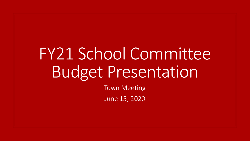## FY21 School Committee Budget Presentation

Town Meeting June 15, 2020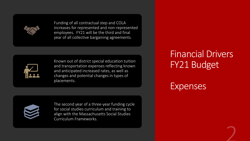Funding of all contractual step and COLA increases for represented and non-represented employees. FY21 will be the third and final year of all collective bargaining agreements.



Known out of district special education tuition and transportation expenses reflecting known and anticipated increased rates, as well as changes and potential changes in types of placements.



The second year of a three-year funding cycle for social studies curriculum and training to align with the Massachusetts Social Studies Curriculum Frameworks.

#### Financial Drivers FY21 Budget

Expenses

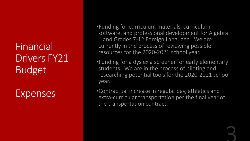Financial Drivers FY21 Budget

Expenses

•Funding for curriculum materials, curriculum software, and professional development for Algebra 1 and Grades 7-12 Foreign Language. We are currently in the process of reviewing possible resources for the 2020-2021 school year.

•Funding for a dyslexia screener for early elementary students. We are in the process of piloting and researching potential tools for the 2020-2021 school year.

•Contractual increase in regular day, athletics and extra-curricular transportation per the final year of the transportation contract.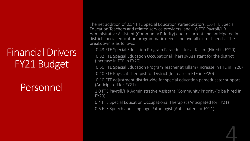### Financial Drivers FY21 Budget

**Personnell** 

The net addition of 0.54 FTE Special Education Paraeducators, 1.6 FTE Special Education Teachers and related service providers, and 1.0 FTE Payroll/HR Administrative Assistant (Community Priority) due to current and anticipated indistrict special education programmatic needs and overall district needs. The breakdown is as follows:

0.43 FTE Special Education Program Paraeducator at Killam (Hired in FY20)

0.32 FTE Special Education Occupational Therapy Assistant for the district (Increase in FTE in FY20)

0.50 FTE Special Education Program Teacher at Killam (Increase in FTE in FY20)

0.10 FTE Physical Therapist for District (Increase in FTE in FY20)

0.10 FTE adjustment districtwide for special education paraeducator support (Anticipated for FY21)

1.0 FTE Payroll/HR Administrative Assistant (Community Priority-To be hired in FY20)

0.4 FTE Special Education Occupational Therapist (Anticipated for FY21)

0.6 FTE Speech and Language Pathologist (Anticipated for FY21)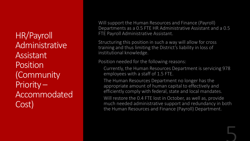HR/Payroll Administrative Assistant Position (Community Priority – Accommodated Cost)

Will support the Human Resources and Finance (Payroll) Departments as a 0.5 FTE HR Administrative Assistant and a 0.5 FTE Payroll Administrative Assistant.

Structuring this position in such a way will allow for cross training and thus limiting the District's liability in loss of institutional knowledge.

Position needed for the following reasons:

Currently, the Human Resources Department is servicing 978 employees with a staff of 1.5 FTE.

The Human Resources Department no longer has the appropriate amount of human capital to effectively and efficiently comply with federal, state and local mandates.

Will restore the 0.4 FTE lost in October, as well as, provide much needed administrative support and redundancy in both the Human Resources and Finance (Payroll) Department.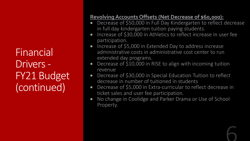Financial Drivers - FY21 Budget (continued)

#### **Revolving Accounts Offsets (Net Decrease of \$60,000):**

- Decrease of \$50,000 in Full Day Kindergarten to reflect decrease in full day kindergarten tuition paying students.
- Increase of \$30,000 in Athletics to reflect increase in user fee participation.
- Increase of \$5,000 in Extended Day to address increase administrative costs in administrative cost center to run extended day programs.
- Decrease of \$10,000 in RISE to align with incoming tuition revenue
- Decrease of \$30,000 in Special Education Tuition to reflect decrease in number of tuitioned in students
- Decrease of \$5,000 in Extra-curricular to reflect decrease in ticket sales and user fee participation.
- No change in Coolidge and Parker Drama or Use of School Property.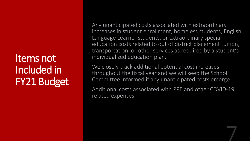Items not Included in FY21 Budget Any unanticipated costs associated with extraordinary increases in student enrollment, homeless students, English Language Learner students, or extraordinary special education costs related to out of district placement tuition, transportation, or other services as required by a student's individualized education plan.

We closely track additional potential cost increases throughout the fiscal year and we will keep the School Committee informed if any unanticipated costs emerge.

Additional costs associated with PPE and other COVID-19 related expenses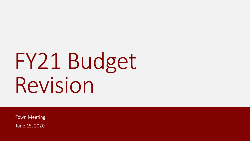# FY21 Budget Revision

Town Meeting June 15, 2020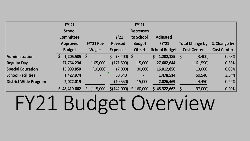|                              | <b>FY'21</b>     |                          |                   | <b>FY'21</b>             |                      |                        |                    |
|------------------------------|------------------|--------------------------|-------------------|--------------------------|----------------------|------------------------|--------------------|
|                              | <b>School</b>    |                          |                   | <b>Decreases</b>         |                      |                        |                    |
|                              | <b>Committee</b> |                          | <b>FY'21</b>      | to School                | <b>Adjusted</b>      |                        |                    |
|                              | <b>Approved</b>  | FY'21 Rev                | <b>Revised</b>    | <b>Budget</b>            | <b>FY'21</b>         | <b>Total Change by</b> | % Change by        |
|                              | <b>Budget</b>    | <b>Wages</b>             | <b>Expenses</b>   | <b>Offset</b>            | <b>School Budget</b> | <b>Cost Center</b>     | <b>Cost Center</b> |
| <b>Administration</b>        | $1,205,585$ \$   | $\overline{\phantom{a}}$ | $(3,400)$ \$<br>S | $\qquad \qquad -$        | 1,202,185            | (3,400)<br>-S          | $-0.28%$           |
| <b>Regular Day</b>           | 27,764,234       | (105,000)                | (171, 590)        | 115,000                  | 27,602,644           | (161, 590)             | $-0.58%$           |
| <b>Special Education</b>     | 15,999,850       | (10,000)                 | (7,000)           | 30,000                   | 16,012,850           | 13,000                 | 0.08%              |
| <b>School Facilities</b>     | 1,427,974        | $\overline{\phantom{a}}$ | 50,540            | $\overline{\phantom{a}}$ | 1,478,514            | 50,540                 | 3.54%              |
| <b>District Wide Program</b> | 2,022,019        |                          | (10, 550)         | 15,000                   | 2,026,469            | 4,450                  | 0.22%              |
|                              | \$48,419,662     | (115,000)                | \$(142,000)       | \$160,000                | 48,322,662           | (97,000)               | $-0.20%$           |

# FY21 Budget Overview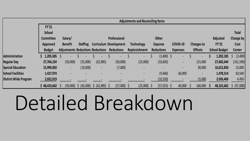|                          | <b>Adjustments and Reconciling Items</b> |                                          |                 |                                           |                               |                          |                   |                          |                          |                      |                  |
|--------------------------|------------------------------------------|------------------------------------------|-----------------|-------------------------------------------|-------------------------------|--------------------------|-------------------|--------------------------|--------------------------|----------------------|------------------|
|                          | FY'21                                    |                                          |                 |                                           |                               |                          |                   |                          |                          |                      |                  |
|                          | <b>School</b>                            |                                          |                 |                                           |                               |                          |                   |                          |                          |                      | <b>Total</b>     |
|                          | <b>Committee</b>                         | Salary/                                  |                 |                                           | Professional                  |                          | <b>Other</b>      |                          |                          | <b>Adjusted</b>      | <b>Change by</b> |
|                          | Approved                                 | <b>Benefit</b>                           | <b>Staffing</b> |                                           | <b>Curriculum Development</b> | Technology               | <b>Expense</b>    | COVID-19                 | Changes to               | FY'21                | Cost             |
|                          | <b>Budget</b>                            | <b>Adjustments Reductions Reductions</b> |                 |                                           | <b>Reductions</b>             | Replenishment            | <b>Reductions</b> | <b>Expenses</b>          | <b>Offsets</b>           | <b>School Budget</b> | <b>Center</b>    |
| <b>Administration</b>    | 1,205,585                                | - S                                      |                 |                                           | $\sim$                        | $\overline{\phantom{a}}$ | $(3,400)$ \$      | $\blacksquare$           | $\overline{\phantom{a}}$ | 1,202,185            | (3,400)          |
| <b>Regular Day</b>       | 27,764,234                               | (50,000)                                 | (55,000)        | (62, 985)                                 | (50,000)                      | (25,000)                 | (33, 605)         | $\overline{\phantom{a}}$ | 115,000                  | 27,602,644           | (161, 590)       |
| <b>Special Education</b> | 15,999,850                               | $\overline{\phantom{a}}$                 | (10,000)        | $\blacksquare$                            | (7,000)                       |                          |                   | $\overline{\phantom{a}}$ | 30,000                   | 16,012,850           | 13,000           |
| <b>School Facilities</b> | 1,427,974                                |                                          |                 |                                           | $\overline{\phantom{a}}$      | $\overline{\phantom{a}}$ | (9,460)           | 60,000                   | $\overline{\phantom{a}}$ | 1,478,514            | 50,540           |
| District Wide Program    | 2,022,019                                |                                          |                 |                                           |                               |                          | (10, 550)         |                          | 15,000                   | 2,026,469            | 4,450            |
|                          | \$48,419,662                             |                                          |                 | $(50,000)$ \$ $(65,000)$ \$ $(62,985)$ \$ | $(57,000)$ \$                 | $(25,000)$ \$            | $(57,015)$ \$     | $60,000$ \$              | $160,000$ \$             | 48,322,662           | $\sin(97,000)$   |

# Detailed Breakdown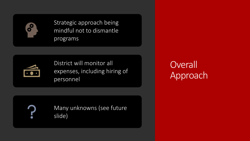

Strategic approach being mindful not to dismantle programs



District will monitor all expenses, including hiring of personnel

**Overall** Approach



Many unknowns (see future slide)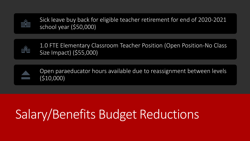

Sick leave buy back for eligible teacher retirement for end of 2020-2021 school year (\$50,000)



1.0 FTE Elementary Classroom Teacher Position (Open Position-No Class Size Impact) (\$55,000)

Open paraeducator hours available due to reassignment between levels (\$10,000)

### Salary/Benefits Budget Reductions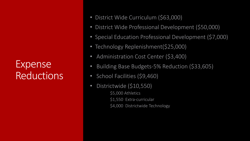Expense **Reductions** 

- District Wide Curriculum (\$63,000)
- District Wide Professional Development (\$50,000)
- Special Education Professional Development (\$7,000)
- Technology Replenishment(\$25,000)
- Administration Cost Center (\$3,400)
- Building Base Budgets-5% Reduction (\$33,605)
- School Facilities (\$9,460)
	- Districtwide (\$10,550) \$5,000 Athletics \$1,550 Extra-curricular \$4,000 Districtwide Technology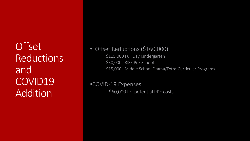**Offset** Reductions and COVID19 **Addition** 

• Offset Reductions (\$160,000) \$115,000 Full Day Kindergarten \$30,000 RISE Pre-School \$15,000 Middle School Drama/Extra-Curricular Programs

•COVID-19 Expenses \$60,000 for potential PPE costs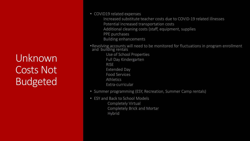Unknown Costs Not Budgeted

- COVID19 related expenses
	- Increased substitute teacher costs due to COVID-19 related illnesses Potential increased transportation costs Additional cleaning costs (staff, equipment, supplies PPE purchases Building enhancements
- •Revolving accounts will need to be monitored for fluctuations in program enrollment and building rentals
	- Use of School Properties Full Day Kindergarten RISE Extended Day Food Services Athletics
	- Extra-curricular
- Summer programming (ESY, Recreation, Summer Camp rentals)
- ESY and Back to School Models Completely Virtual Completely Brick and Mortar Hybrid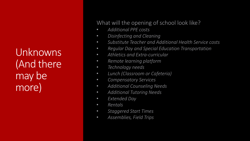Unknowns (And there may be more)

What will the opening of school look like?

- *Additional PPE costs*
- *Disinfecting and Cleaning*
- *Substitute Teacher and Additional Health Service costs*
- *Regular Day and Special Education Transportation*
- *Athletics and Extra-curricular*
- *Remote learning platform*
- *Technology needs*
- *Lunch (Classroom or Cafeteria)*
- *Compensatory Services*
- *Additional Counseling Needs*
- *Additional Tutoring Needs*
- *Extended Day*
- *Rentals*
- *Staggered Start Times*
- *Assemblies, Field Trips*